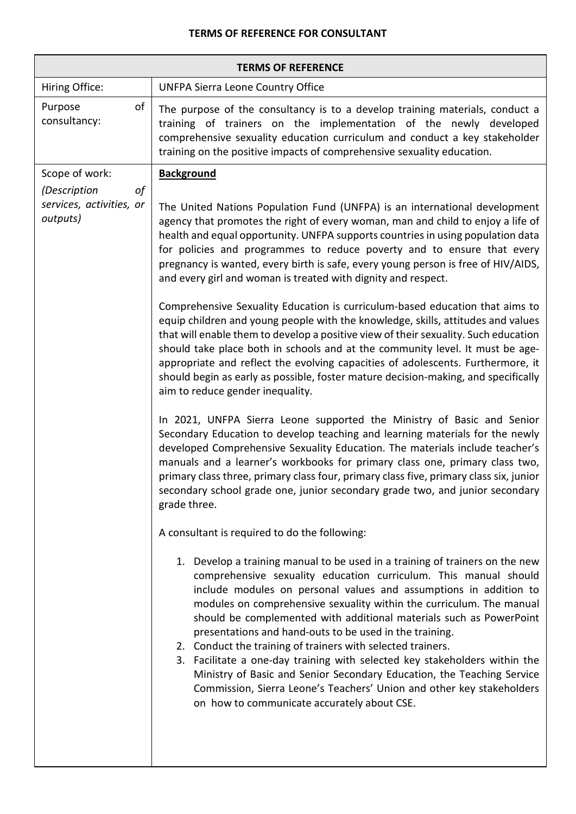## **TERMS OF REFERENCE FOR CONSULTANT**

| <b>TERMS OF REFERENCE</b>                                  |                                                                                                                                                                                                                                                                                                                                                                                                                                                                                                                                                                                                                                                                                                                                                                                |  |
|------------------------------------------------------------|--------------------------------------------------------------------------------------------------------------------------------------------------------------------------------------------------------------------------------------------------------------------------------------------------------------------------------------------------------------------------------------------------------------------------------------------------------------------------------------------------------------------------------------------------------------------------------------------------------------------------------------------------------------------------------------------------------------------------------------------------------------------------------|--|
| Hiring Office:                                             | <b>UNFPA Sierra Leone Country Office</b>                                                                                                                                                                                                                                                                                                                                                                                                                                                                                                                                                                                                                                                                                                                                       |  |
| оf<br>Purpose<br>consultancy:                              | The purpose of the consultancy is to a develop training materials, conduct a<br>training of trainers on the implementation of the newly developed<br>comprehensive sexuality education curriculum and conduct a key stakeholder<br>training on the positive impacts of comprehensive sexuality education.                                                                                                                                                                                                                                                                                                                                                                                                                                                                      |  |
| Scope of work:                                             | <b>Background</b>                                                                                                                                                                                                                                                                                                                                                                                                                                                                                                                                                                                                                                                                                                                                                              |  |
| of<br>(Description<br>services, activities, or<br>outputs) | The United Nations Population Fund (UNFPA) is an international development<br>agency that promotes the right of every woman, man and child to enjoy a life of<br>health and equal opportunity. UNFPA supports countries in using population data<br>for policies and programmes to reduce poverty and to ensure that every<br>pregnancy is wanted, every birth is safe, every young person is free of HIV/AIDS,<br>and every girl and woman is treated with dignity and respect.                                                                                                                                                                                                                                                                                               |  |
|                                                            | Comprehensive Sexuality Education is curriculum-based education that aims to<br>equip children and young people with the knowledge, skills, attitudes and values<br>that will enable them to develop a positive view of their sexuality. Such education<br>should take place both in schools and at the community level. It must be age-<br>appropriate and reflect the evolving capacities of adolescents. Furthermore, it<br>should begin as early as possible, foster mature decision-making, and specifically<br>aim to reduce gender inequality.                                                                                                                                                                                                                          |  |
|                                                            | In 2021, UNFPA Sierra Leone supported the Ministry of Basic and Senior<br>Secondary Education to develop teaching and learning materials for the newly<br>developed Comprehensive Sexuality Education. The materials include teacher's<br>manuals and a learner's workbooks for primary class one, primary class two,<br>primary class three, primary class four, primary class five, primary class six, junior<br>secondary school grade one, junior secondary grade two, and junior secondary<br>grade three.                                                                                                                                                                                                                                                                |  |
|                                                            | A consultant is required to do the following:                                                                                                                                                                                                                                                                                                                                                                                                                                                                                                                                                                                                                                                                                                                                  |  |
|                                                            | 1. Develop a training manual to be used in a training of trainers on the new<br>comprehensive sexuality education curriculum. This manual should<br>include modules on personal values and assumptions in addition to<br>modules on comprehensive sexuality within the curriculum. The manual<br>should be complemented with additional materials such as PowerPoint<br>presentations and hand-outs to be used in the training.<br>2. Conduct the training of trainers with selected trainers.<br>3. Facilitate a one-day training with selected key stakeholders within the<br>Ministry of Basic and Senior Secondary Education, the Teaching Service<br>Commission, Sierra Leone's Teachers' Union and other key stakeholders<br>on how to communicate accurately about CSE. |  |
|                                                            |                                                                                                                                                                                                                                                                                                                                                                                                                                                                                                                                                                                                                                                                                                                                                                                |  |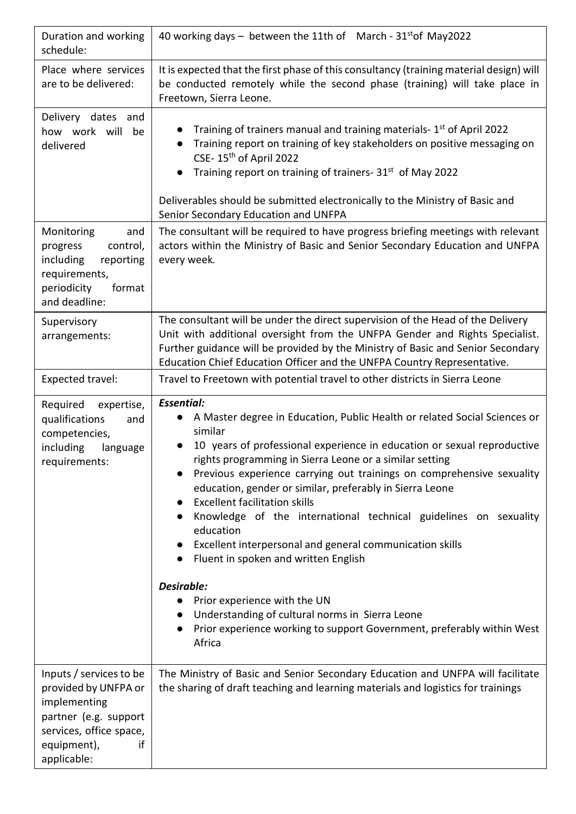| Duration and working<br>schedule:                                                                                                                       | 40 working days $-$ between the 11th of March - 31 <sup>st</sup> of May 2022                                                                                                                                                                                                                                                                                                                                                                                                                                                                                                                                                                                                                                                                                                                                        |
|---------------------------------------------------------------------------------------------------------------------------------------------------------|---------------------------------------------------------------------------------------------------------------------------------------------------------------------------------------------------------------------------------------------------------------------------------------------------------------------------------------------------------------------------------------------------------------------------------------------------------------------------------------------------------------------------------------------------------------------------------------------------------------------------------------------------------------------------------------------------------------------------------------------------------------------------------------------------------------------|
| Place where services<br>are to be delivered:                                                                                                            | It is expected that the first phase of this consultancy (training material design) will<br>be conducted remotely while the second phase (training) will take place in<br>Freetown, Sierra Leone.                                                                                                                                                                                                                                                                                                                                                                                                                                                                                                                                                                                                                    |
| Delivery dates and<br>how work will<br>be<br>delivered                                                                                                  | Training of trainers manual and training materials-1 <sup>st</sup> of April 2022<br>Training report on training of key stakeholders on positive messaging on<br>CSE-15 <sup>th</sup> of April 2022<br>Training report on training of trainers- 31 <sup>st</sup> of May 2022<br>Deliverables should be submitted electronically to the Ministry of Basic and<br>Senior Secondary Education and UNFPA                                                                                                                                                                                                                                                                                                                                                                                                                 |
| Monitoring<br>and<br>progress<br>control,<br>including<br>reporting<br>requirements,<br>periodicity<br>format<br>and deadline:                          | The consultant will be required to have progress briefing meetings with relevant<br>actors within the Ministry of Basic and Senior Secondary Education and UNFPA<br>every week.                                                                                                                                                                                                                                                                                                                                                                                                                                                                                                                                                                                                                                     |
| Supervisory<br>arrangements:                                                                                                                            | The consultant will be under the direct supervision of the Head of the Delivery<br>Unit with additional oversight from the UNFPA Gender and Rights Specialist.<br>Further guidance will be provided by the Ministry of Basic and Senior Secondary<br>Education Chief Education Officer and the UNFPA Country Representative.                                                                                                                                                                                                                                                                                                                                                                                                                                                                                        |
| Expected travel:                                                                                                                                        | Travel to Freetown with potential travel to other districts in Sierra Leone                                                                                                                                                                                                                                                                                                                                                                                                                                                                                                                                                                                                                                                                                                                                         |
| Required<br>expertise,<br>qualifications<br>and<br>competencies,<br>including<br>language<br>requirements:                                              | <b>Essential:</b><br>A Master degree in Education, Public Health or related Social Sciences or<br>similar<br>10 years of professional experience in education or sexual reproductive<br>rights programming in Sierra Leone or a similar setting<br>Previous experience carrying out trainings on comprehensive sexuality<br>education, gender or similar, preferably in Sierra Leone<br><b>Excellent facilitation skills</b><br>Knowledge of the international technical guidelines on sexuality<br>education<br>Excellent interpersonal and general communication skills<br>Fluent in spoken and written English<br>Desirable:<br>Prior experience with the UN<br>$\bullet$<br>Understanding of cultural norms in Sierra Leone<br>Prior experience working to support Government, preferably within West<br>Africa |
| Inputs / services to be<br>provided by UNFPA or<br>implementing<br>partner (e.g. support<br>services, office space,<br>equipment),<br>if<br>applicable: | The Ministry of Basic and Senior Secondary Education and UNFPA will facilitate<br>the sharing of draft teaching and learning materials and logistics for trainings                                                                                                                                                                                                                                                                                                                                                                                                                                                                                                                                                                                                                                                  |